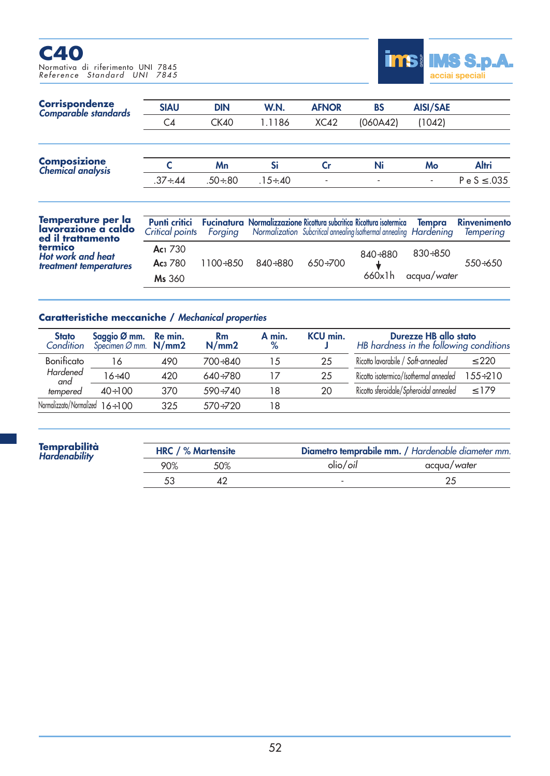## **C40** Normativa di riferimento UNI 7845 *Reference Standard UNI 7845*



| <b>Corrispondenze</b><br>Comparable standards | <b>SIAU</b>                                                   | <b>DIN</b>     | W.N.                                    | <b>AFNOR</b>      | <b>BS</b>                                | AISI/SAE |                  |
|-----------------------------------------------|---------------------------------------------------------------|----------------|-----------------------------------------|-------------------|------------------------------------------|----------|------------------|
|                                               | C <sub>4</sub>                                                | <b>CK40</b>    | 1.1186                                  | XC42              | (060A42)                                 | (1042)   |                  |
| <b>Composizione</b><br>Chemical analysis      |                                                               | Mn             | Si                                      | Cr                | Ni                                       | Mo       | Altri            |
|                                               | $.37 \div .44$                                                | $.50 \div .80$ | $.15 \div 40$                           | ٠                 | $\overline{\phantom{a}}$                 | ٠        | $P e S \le .035$ |
| Tamnaratura nar la                            | $\mathbf{r}_1 \mathbf{r}_2 \mathbf{r}_3$<br><b>CONTRACTOR</b> | . .<br>$\sim$  | $\mathbf{P}$<br>$\bullet$<br><b>A</b> 1 | <b>CONTRACTOR</b> | designed and the control of the state of | ÷        | . .<br>٠         |

| Temperature per la<br>lavorazione a caldo<br>ed il trattamento | Critical points Forging Normalization Subcritical annealing Isothermal annealing Hardening |                                | <b>Punti critici</b> Fucinatura Normalizzazione Ricottura subcritica Ricottura isotermica Tempra Rinvenimento |         |                      | Temperina |
|----------------------------------------------------------------|--------------------------------------------------------------------------------------------|--------------------------------|---------------------------------------------------------------------------------------------------------------|---------|----------------------|-----------|
| termico<br>Hot work and heat                                   | Ac <sub>1</sub> 730                                                                        |                                |                                                                                                               | 840÷880 | 830÷850              |           |
| treatment temperatures                                         | <b>Ac</b> <sub>3</sub> 780                                                                 | $1100 \div 850$ $840 \div 880$ | 650÷700                                                                                                       |         |                      | $550+650$ |
|                                                                | Ms 360                                                                                     |                                |                                                                                                               |         | $660x1h$ acqua/water |           |

## **Caratteristiche meccaniche /** *Mechanical properties*

| <b>Stato</b><br>Condition             | Saggio Ø mm. Re min.<br>Specimen Ø mm. $N/mm2$ |     | <b>Rm</b><br>N/mm2 | A min.<br>$\%$ | KCU min. | Durezze HB allo stato<br>HB hardness in the following conditions |                |
|---------------------------------------|------------------------------------------------|-----|--------------------|----------------|----------|------------------------------------------------------------------|----------------|
| Bonificato                            | 16                                             | 490 | 700÷840            | 15             | 25       | Ricotto lavorabile / Soft-annealed                               | $\leq 220$     |
| Hardened<br>and                       | $16 \div 40$                                   | 420 | $640 + 780$        | 17             | 25       | Ricotto isotermico/Isothermal annealed                           | $155 \div 210$ |
| tempered                              | $40 \div 100$                                  | 370 | $590 + 740$        | 18             | 20       | Ricotto sferoidale/Spheroidal annealed                           | $\leq$ 179     |
| Normalizzato/Normalized $16 \div 100$ |                                                | 325 | $570 + 720$        | 18             |          |                                                                  |                |

| <b>Temprabilità</b><br>Hardenability | <b>HRC</b> / % Martensite |     | Diametro temprabile mm. / Hardenable diameter mm. |             |  |
|--------------------------------------|---------------------------|-----|---------------------------------------------------|-------------|--|
|                                      | 90%                       | 50% | olio/ <i>oil</i>                                  | acqua/water |  |
|                                      |                           |     |                                                   |             |  |